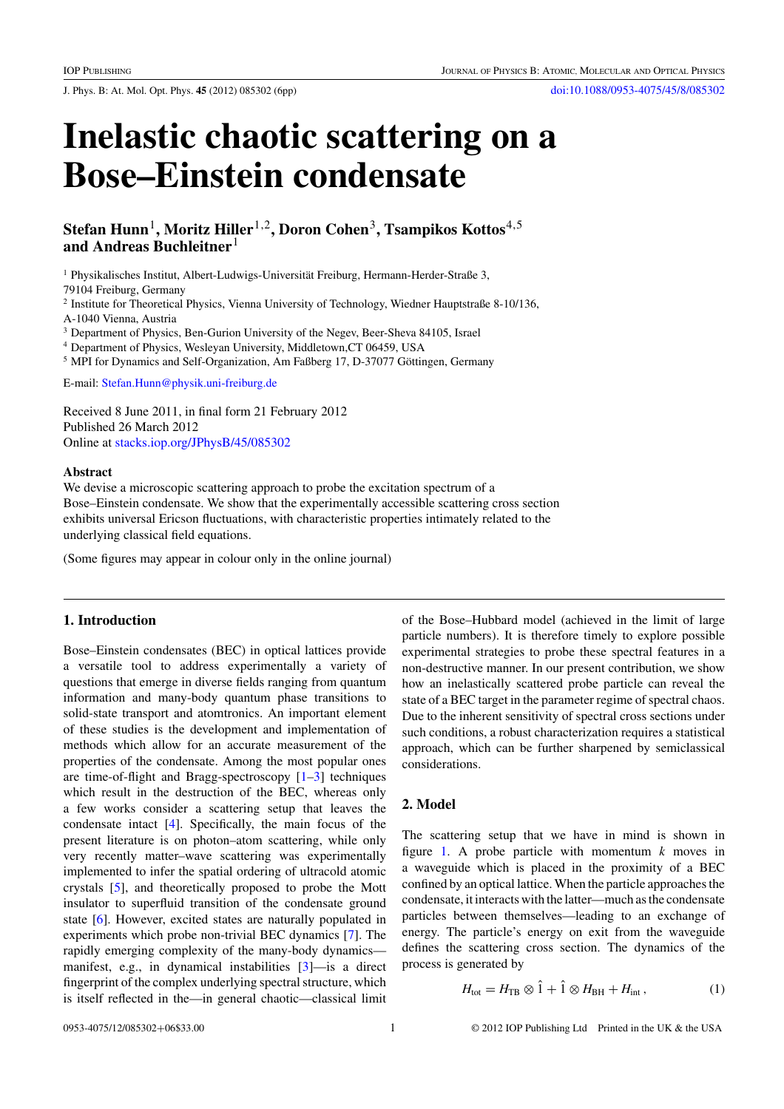J. Phys. B: At. Mol. Opt. Phys. **45** (2012) 085302 (6pp) doi:10.1088/0953-4075/45/8/085302

# **Inelastic chaotic scattering on a Bose–Einstein condensate**

**Stefan Hunn**1**, Moritz Hiller**1,2**, Doron Cohen**3**, Tsampikos Kottos**4,5 **and Andreas Buchleitner**<sup>1</sup>

<sup>1</sup> Physikalisches Institut, Albert-Ludwigs-Universität Freiburg, Hermann-Herder-Straße 3,

79104 Freiburg, Germany

<sup>2</sup> Institute for Theoretical Physics, Vienna University of Technology, Wiedner Hauptstraße 8-10/136, A-1040 Vienna, Austria

<sup>3</sup> Department of Physics, Ben-Gurion University of the Negev, Beer-Sheva 84105, Israel

<sup>4</sup> Department of Physics, Wesleyan University, Middletown,CT 06459, USA

<sup>5</sup> MPI for Dynamics and Self-Organization, Am Faßberg 17, D-37077 Göttingen, Germany

E-mail: Stefan.Hunn@physik.uni-freiburg.de

Received 8 June 2011, in final form 21 February 2012 Published 26 March 2012 Online at stacks.iop.org/JPhysB/45/085302

## **Abstract**

We devise a microscopic scattering approach to probe the excitation spectrum of a Bose–Einstein condensate. We show that the experimentally accessible scattering cross section exhibits universal Ericson fluctuations, with characteristic properties intimately related to the underlying classical field equations.

(Some figures may appear in colour only in the online journal)

# **1. Introduction**

Bose–Einstein condensates (BEC) in optical lattices provide a versatile tool to address experimentally a variety of questions that emerge in diverse fields ranging from quantum information and many-body quantum phase transitions to solid-state transport and atomtronics. An important element of these studies is the development and implementation of methods which allow for an accurate measurement of the properties of the condensate. Among the most popular ones are time-of-flight and Bragg-spectroscopy  $[1-3]$  techniques which result in the destruction of the BEC, whereas only a few works consider a scattering setup that leaves the condensate intact [4]. Specifically, the main focus of the present literature is on photon–atom scattering, while only very recently matter–wave scattering was experimentally implemented to infer the spatial ordering of ultracold atomic crystals [5], and theoretically proposed to probe the Mott insulator to superfluid transition of the condensate ground state [6]. However, excited states are naturally populated in experiments which probe non-trivial BEC dynamics [7]. The rapidly emerging complexity of the many-body dynamics manifest, e.g., in dynamical instabilities [3]—is a direct fingerprint of the complex underlying spectral structure, which is itself reflected in the—in general chaotic—classical limit

of the Bose–Hubbard model (achieved in the limit of large particle numbers). It is therefore timely to explore possible experimental strategies to probe these spectral features in a non-destructive manner. In our present contribution, we show how an inelastically scattered probe particle can reveal the state of a BEC target in the parameter regime of spectral chaos. Due to the inherent sensitivity of spectral cross sections under such conditions, a robust characterization requires a statistical approach, which can be further sharpened by semiclassical considerations.

# **2. Model**

The scattering setup that we have in mind is shown in figure 1. A probe particle with momentum *k* moves in a waveguide which is placed in the proximity of a BEC confined by an optical lattice. When the particle approaches the condensate, it interacts with the latter—much as the condensate particles between themselves—leading to an exchange of energy. The particle's energy on exit from the waveguide defines the scattering cross section. The dynamics of the process is generated by

$$
H_{\text{tot}} = H_{\text{TB}} \otimes \hat{1} + \hat{1} \otimes H_{\text{BH}} + H_{\text{int}} , \qquad (1)
$$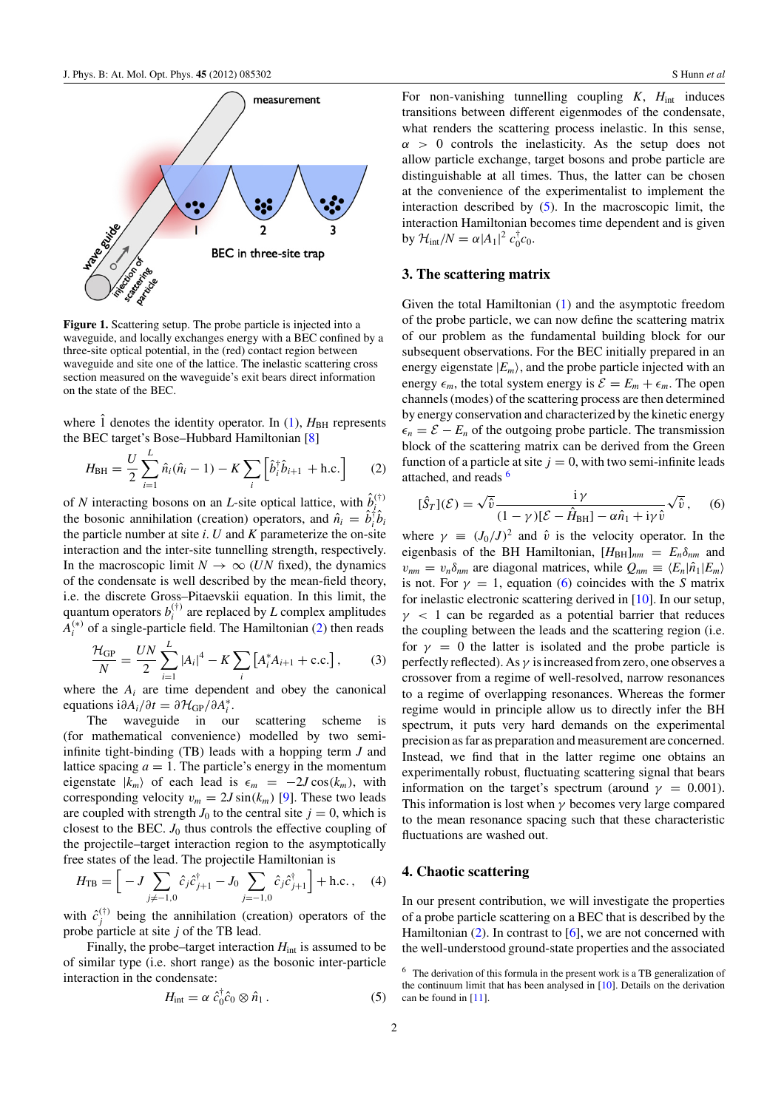

**Figure 1.** Scattering setup. The probe particle is injected into a waveguide, and locally exchanges energy with a BEC confined by a three-site optical potential, in the (red) contact region between waveguide and site one of the lattice. The inelastic scattering cross section measured on the waveguide's exit bears direct information on the state of the BEC.

where  $\hat{1}$  denotes the identity operator. In (1),  $H_{BH}$  represents the BEC target's Bose–Hubbard Hamiltonian [8]

$$
H_{\rm BH} = \frac{U}{2} \sum_{i=1}^{L} \hat{n}_i (\hat{n}_i - 1) - K \sum_{i} \left[ \hat{b}_i^{\dagger} \hat{b}_{i+1} + \text{h.c.} \right]
$$
 (2)

of *N* interacting bosons on an *L*-site optical lattice, with  $\hat{b}^{(\dagger)}$ the bosonic annihilation (creation) operators, and  $\hat{n}_i = \hat{b}_i^{\dagger} \hat{b}_i$ the particle number at site *i*. *U* and *K* parameterize the on-site interaction and the inter-site tunnelling strength, respectively. In the macroscopic limit  $N \to \infty$  (*UN* fixed), the dynamics of the condensate is well described by the mean-field theory, i.e. the discrete Gross–Pitaevskii equation. In this limit, the quantum operators  $b_i^{(\dagger)}$  are replaced by *L* complex amplitudes  $A_i^{(*)}$  of a single-particle field. The Hamiltonian (2) then reads

$$
\frac{\mathcal{H}_{GP}}{N} = \frac{UN}{2} \sum_{i=1}^{L} |A_i|^4 - K \sum_{i} \left[ A_i^* A_{i+1} + \text{c.c.} \right],\tag{3}
$$

where the  $A_i$  are time dependent and obey the canonical equations  $i\partial A_i/\partial t = \partial \mathcal{H}_{GP}/\partial A_i^*$ .

The waveguide in our scattering scheme is (for mathematical convenience) modelled by two semiinfinite tight-binding (TB) leads with a hopping term *J* and lattice spacing  $a = 1$ . The particle's energy in the momentum eigenstate  $|k_m\rangle$  of each lead is  $\epsilon_m = -2J\cos(k_m)$ , with corresponding velocity  $v_m = 2J \sin(k_m)$  [9]. These two leads are coupled with strength  $J_0$  to the central site  $j = 0$ , which is closest to the BEC.  $J_0$  thus controls the effective coupling of the projectile–target interaction region to the asymptotically free states of the lead. The projectile Hamiltonian is

$$
H_{\rm TB} = \left[ \ -J \sum_{j \neq -1,0} \hat{c}_j \hat{c}_{j+1}^\dagger - J_0 \sum_{j=-1,0} \hat{c}_j \hat{c}_{j+1}^\dagger \right] + \text{h.c.} \,, \quad (4)
$$

with  $\hat{c}^{(\dagger)}_j$  being the annihilation (creation) operators of the probe particle at site *j* of the TB lead.

Finally, the probe–target interaction  $H<sub>int</sub>$  is assumed to be of similar type (i.e. short range) as the bosonic inter-particle interaction in the condensate:

$$
H_{\text{int}} = \alpha \; \hat{c}_0^{\dagger} \hat{c}_0 \otimes \hat{n}_1 \,. \tag{5}
$$

For non-vanishing tunnelling coupling  $K$ ,  $H_{int}$  induces transitions between different eigenmodes of the condensate, what renders the scattering process inelastic. In this sense,  $\alpha > 0$  controls the inelasticity. As the setup does not allow particle exchange, target bosons and probe particle are distinguishable at all times. Thus, the latter can be chosen at the convenience of the experimentalist to implement the interaction described by  $(5)$ . In the macroscopic limit, the interaction Hamiltonian becomes time dependent and is given by  $\mathcal{H}_{int}/N = \alpha |A_1|^2 c_0^{\dagger} c_0.$ 

# **3. The scattering matrix**

Given the total Hamiltonian (1) and the asymptotic freedom of the probe particle, we can now define the scattering matrix of our problem as the fundamental building block for our subsequent observations. For the BEC initially prepared in an energy eigenstate  $|E_m\rangle$ , and the probe particle injected with an energy  $\epsilon_m$ , the total system energy is  $\mathcal{E} = E_m + \epsilon_m$ . The open channels (modes) of the scattering process are then determined by energy conservation and characterized by the kinetic energy  $\epsilon_n = \mathcal{E} - E_n$  of the outgoing probe particle. The transmission block of the scattering matrix can be derived from the Green function of a particle at site  $j = 0$ , with two semi-infinite leads attached, and reads <sup>6</sup>

$$
[\hat{S}_T](\mathcal{E}) = \sqrt{\hat{v}} \frac{\mathrm{i}\,\gamma}{(1-\gamma)[\mathcal{E} - \hat{H}_{\mathrm{BH}}] - \alpha \hat{n}_1 + \mathrm{i}\gamma \hat{v}} \sqrt{\hat{v}},\qquad(6)
$$

where  $\gamma \equiv (J_0/J)^2$  and  $\hat{v}$  is the velocity operator. In the eigenbasis of the BH Hamiltonian,  $[H_{BH}]_{nm} = E_n \delta_{nm}$  and  $v_{nm} = v_n \delta_{nm}$  are diagonal matrices, while  $Q_{nm} \equiv \langle E_n | \hat{n}_1 | E_m \rangle$ is not. For  $\gamma = 1$ , equation (6) coincides with the *S* matrix for inelastic electronic scattering derived in [10]. In our setup,  $\gamma$  < 1 can be regarded as a potential barrier that reduces the coupling between the leads and the scattering region (i.e. for  $y = 0$  the latter is isolated and the probe particle is perfectly reflected). As  $\gamma$  is increased from zero, one observes a crossover from a regime of well-resolved, narrow resonances to a regime of overlapping resonances. Whereas the former regime would in principle allow us to directly infer the BH spectrum, it puts very hard demands on the experimental precision as far as preparation and measurement are concerned. Instead, we find that in the latter regime one obtains an experimentally robust, fluctuating scattering signal that bears information on the target's spectrum (around  $\gamma = 0.001$ ). This information is lost when  $\gamma$  becomes very large compared to the mean resonance spacing such that these characteristic fluctuations are washed out.

## **4. Chaotic scattering**

In our present contribution, we will investigate the properties of a probe particle scattering on a BEC that is described by the Hamiltonian  $(2)$ . In contrast to  $[6]$ , we are not concerned with the well-understood ground-state properties and the associated

<sup>6</sup> The derivation of this formula in the present work is a TB generalization of the continuum limit that has been analysed in [10]. Details on the derivation can be found in [11].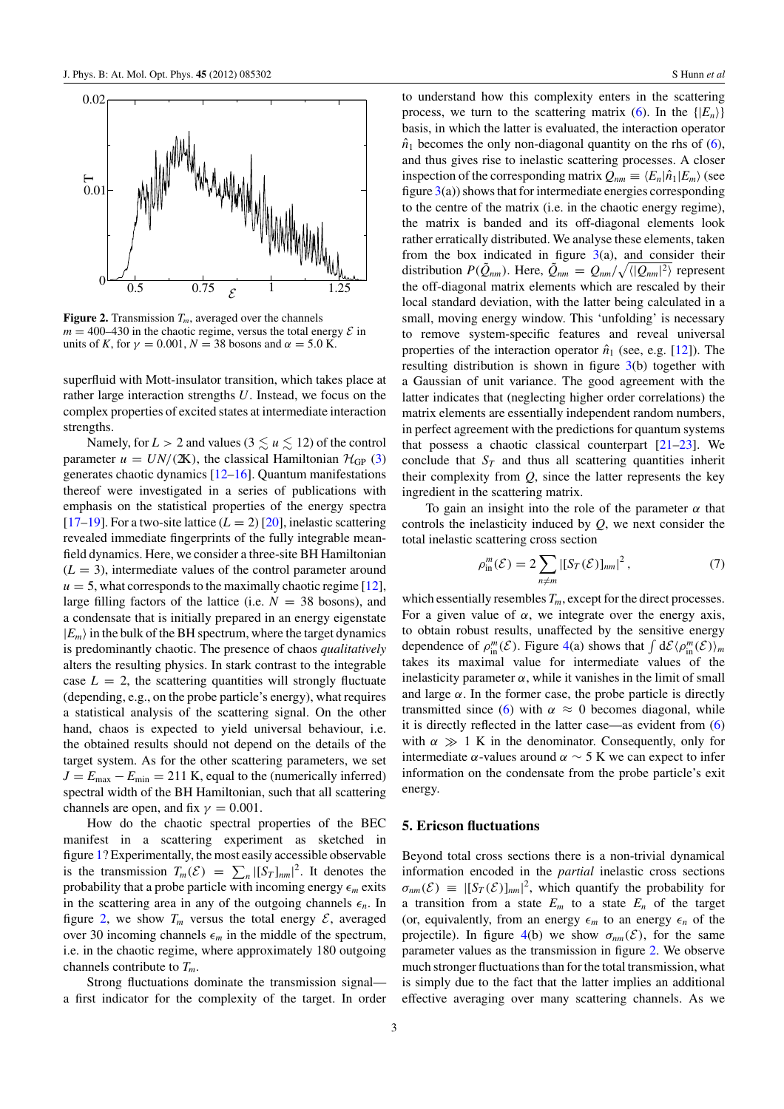

**Figure 2.** Transmission  $T_m$ , averaged over the channels  $m = 400-430$  in the chaotic regime, versus the total energy  $\mathcal E$  in units of *K*, for  $\gamma = 0.001$ ,  $N = 38$  bosons and  $\alpha = 5.0$  K.

superfluid with Mott-insulator transition, which takes place at rather large interaction strengths *U*. Instead, we focus on the complex properties of excited states at intermediate interaction strengths.

Namely, for  $L > 2$  and values ( $3 \lesssim u \lesssim 12$ ) of the control parameter  $u = UN/(2K)$ , the classical Hamiltonian  $\mathcal{H}_{GP}(3)$ generates chaotic dynamics [12–16]. Quantum manifestations thereof were investigated in a series of publications with emphasis on the statistical properties of the energy spectra [17–19]. For a two-site lattice  $(L = 2)$  [20], inelastic scattering revealed immediate fingerprints of the fully integrable meanfield dynamics. Here, we consider a three-site BH Hamiltonian  $(L = 3)$ , intermediate values of the control parameter around  $u = 5$ , what corresponds to the maximally chaotic regime [12], large filling factors of the lattice (i.e.  $N = 38$  bosons), and a condensate that is initially prepared in an energy eigenstate  $|E_m\rangle$  in the bulk of the BH spectrum, where the target dynamics is predominantly chaotic. The presence of chaos *qualitatively* alters the resulting physics. In stark contrast to the integrable case  $L = 2$ , the scattering quantities will strongly fluctuate (depending, e.g., on the probe particle's energy), what requires a statistical analysis of the scattering signal. On the other hand, chaos is expected to yield universal behaviour, i.e. the obtained results should not depend on the details of the target system. As for the other scattering parameters, we set  $J = E_{\text{max}} - E_{\text{min}} = 211$  K, equal to the (numerically inferred) spectral width of the BH Hamiltonian, such that all scattering channels are open, and fix  $\gamma = 0.001$ .

How do the chaotic spectral properties of the BEC manifest in a scattering experiment as sketched in figure 1? Experimentally, the most easily accessible observable is the transmission  $T_m(\mathcal{E}) = \sum_n |[S_T]_{nm}|^2$ . It denotes the probability that a probe particle with incoming energy  $\epsilon_m$  exits in the scattering area in any of the outgoing channels  $\epsilon_n$ . In figure 2, we show  $T_m$  versus the total energy  $\mathcal{E}$ , averaged over 30 incoming channels  $\epsilon_m$  in the middle of the spectrum, i.e. in the chaotic regime, where approximately 180 outgoing channels contribute to *Tm*.

Strong fluctuations dominate the transmission signal a first indicator for the complexity of the target. In order to understand how this complexity enters in the scattering process, we turn to the scattering matrix (6). In the  $\{|E_n\rangle\}$ basis, in which the latter is evaluated, the interaction operator  $\hat{n}_1$  becomes the only non-diagonal quantity on the rhs of (6), and thus gives rise to inelastic scattering processes. A closer inspection of the corresponding matrix  $Q_{nm} \equiv \langle E_n | \hat{n}_1 | E_m \rangle$  (see figure  $3(a)$ ) shows that for intermediate energies corresponding to the centre of the matrix (i.e. in the chaotic energy regime), the matrix is banded and its off-diagonal elements look rather erratically distributed. We analyse these elements, taken from the box indicated in figure  $3(a)$ , and consider their distribution  $P(\tilde{Q}_{nm})$ . Here,  $\tilde{Q}_{nm} = Q_{nm}/\sqrt{\langle |Q_{nm}|^2 \rangle}$  represent the off-diagonal matrix elements which are rescaled by their local standard deviation, with the latter being calculated in a small, moving energy window. This 'unfolding' is necessary to remove system-specific features and reveal universal properties of the interaction operator  $\hat{n}_1$  (see, e.g. [12]). The resulting distribution is shown in figure  $3(b)$  together with a Gaussian of unit variance. The good agreement with the latter indicates that (neglecting higher order correlations) the matrix elements are essentially independent random numbers, in perfect agreement with the predictions for quantum systems that possess a chaotic classical counterpart  $[21-23]$ . We conclude that  $S_T$  and thus all scattering quantities inherit their complexity from *Q*, since the latter represents the key ingredient in the scattering matrix.

To gain an insight into the role of the parameter  $\alpha$  that controls the inelasticity induced by *Q*, we next consider the total inelastic scattering cross section

$$
\rho_{\text{in}}^m(\mathcal{E}) = 2 \sum_{n \neq m} |[S_T(\mathcal{E})]_{nm}|^2, \qquad (7)
$$

which essentially resembles  $T_m$ , except for the direct processes. For a given value of  $\alpha$ , we integrate over the energy axis, to obtain robust results, unaffected by the sensitive energy dependence of  $\rho_{\text{in}}^m(\mathcal{E})$ . Figure 4(a) shows that  $\int d\mathcal{E} \langle \rho_{\text{in}}^m(\mathcal{E}) \rangle_m$ takes its maximal value for intermediate values of the inelasticity parameter  $\alpha$ , while it vanishes in the limit of small and large  $\alpha$ . In the former case, the probe particle is directly transmitted since (6) with  $\alpha \approx 0$  becomes diagonal, while it is directly reflected in the latter case—as evident from (6) with  $\alpha \gg 1$  K in the denominator. Consequently, only for intermediate α-values around  $\alpha \sim 5$  K we can expect to infer information on the condensate from the probe particle's exit energy.

## **5. Ericson fluctuations**

Beyond total cross sections there is a non-trivial dynamical information encoded in the *partial* inelastic cross sections  $\sigma_{nm}(\mathcal{E}) \equiv |[S_T(\mathcal{E})]_{nm}|^2$ , which quantify the probability for a transition from a state  $E_m$  to a state  $E_n$  of the target (or, equivalently, from an energy  $\epsilon_m$  to an energy  $\epsilon_n$  of the projectile). In figure 4(b) we show  $\sigma_{nm}(\mathcal{E})$ , for the same parameter values as the transmission in figure 2. We observe much stronger fluctuations than for the total transmission, what is simply due to the fact that the latter implies an additional effective averaging over many scattering channels. As we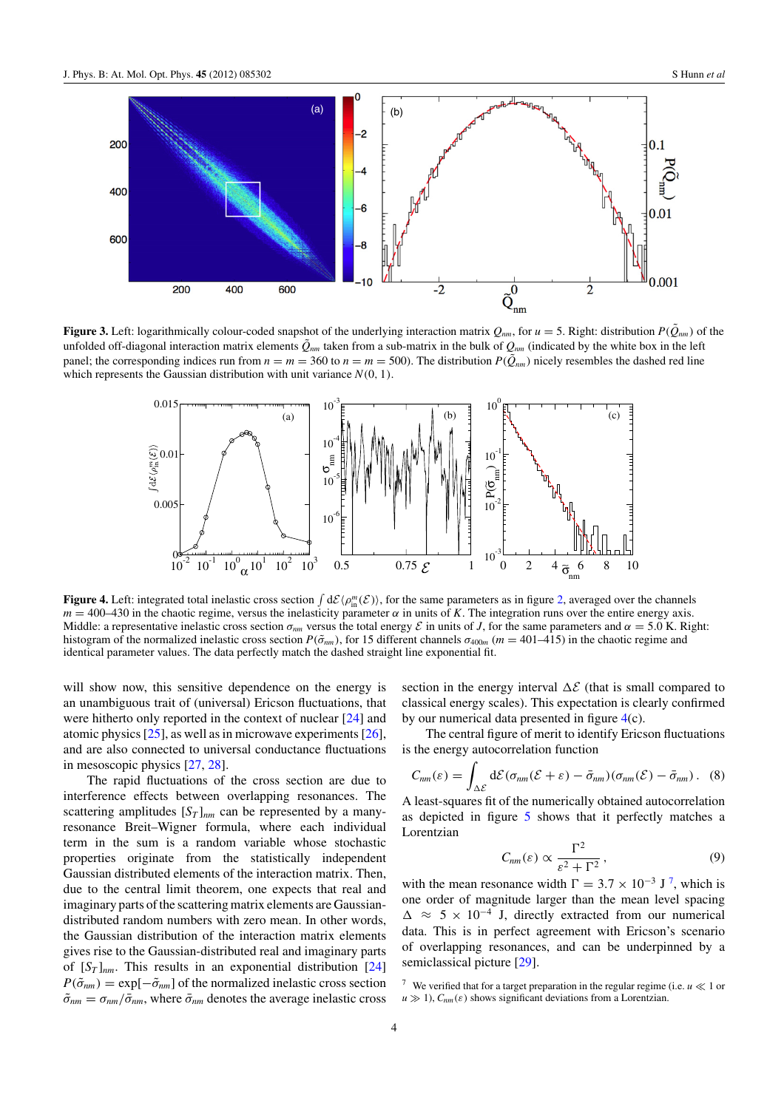

**Figure 3.** Left: logarithmically colour-coded snapshot of the underlying interaction matrix  $Q_{nm}$ , for  $u = 5$ . Right: distribution  $P(\tilde{Q}_{nm})$  of the unfolded off-diagonal interaction matrix elements  $\tilde{Q}_{nm}$  taken from a sub-matrix in the bulk of  $Q_{nm}$  (indicated by the white box in the left panel; the corresponding indices run from  $n = m = 360$  to  $n = m = 500$ ). The distribution  $P(\hat{Q}_{nm})$  nicely resembles the dashed red line which represents the Gaussian distribution with unit variance  $N(0, 1)$ .



**Figure 4.** Left: integrated total inelastic cross section  $\int d\mathcal{E} \langle \rho_m^m(\mathcal{E}) \rangle$ , for the same parameters as in figure 2, averaged over the channels  $m = 400-430$  in the chaotic regime, versus the inelasticity parameter  $\alpha$  in units of *K*. The integration runs over the entire energy axis. Middle: a representative inelastic cross section  $\sigma_{nm}$  versus the total energy  $\mathcal E$  in units of *J*, for the same parameters and  $\alpha = 5.0$  K. Right: histogram of the normalized inelastic cross section  $P(\tilde{\sigma}_{nm})$ , for 15 different channels  $\sigma_{400m}$  ( $m = 401–415$ ) in the chaotic regime and identical parameter values. The data perfectly match the dashed straight line exponential fit.

will show now, this sensitive dependence on the energy is an unambiguous trait of (universal) Ericson fluctuations, that were hitherto only reported in the context of nuclear [24] and atomic physics [25], as well as in microwave experiments [26], and are also connected to universal conductance fluctuations in mesoscopic physics [27, 28].

The rapid fluctuations of the cross section are due to interference effects between overlapping resonances. The scattering amplitudes  $[S_T]_{nm}$  can be represented by a manyresonance Breit–Wigner formula, where each individual term in the sum is a random variable whose stochastic properties originate from the statistically independent Gaussian distributed elements of the interaction matrix. Then, due to the central limit theorem, one expects that real and imaginary parts of the scattering matrix elements are Gaussiandistributed random numbers with zero mean. In other words, the Gaussian distribution of the interaction matrix elements gives rise to the Gaussian-distributed real and imaginary parts of  $[S_T]_{nm}$ . This results in an exponential distribution  $[24]$  $P(\tilde{\sigma}_{nm}) = \exp[-\tilde{\sigma}_{nm}]$  of the normalized inelastic cross section  $\tilde{\sigma}_{nm} = \sigma_{nm}/\bar{\sigma}_{nm}$ , where  $\bar{\sigma}_{nm}$  denotes the average inelastic cross section in the energy interval  $\Delta \mathcal{E}$  (that is small compared to classical energy scales). This expectation is clearly confirmed by our numerical data presented in figure 4(c).

The central figure of merit to identify Ericson fluctuations is the energy autocorrelation function

$$
C_{nm}(\varepsilon) = \int_{\Delta \mathcal{E}} d\mathcal{E} (\sigma_{nm}(\mathcal{E} + \varepsilon) - \bar{\sigma}_{nm}) (\sigma_{nm}(\mathcal{E}) - \bar{\sigma}_{nm}). \quad (8)
$$

A least-squares fit of the numerically obtained autocorrelation as depicted in figure 5 shows that it perfectly matches a Lorentzian

$$
C_{nm}(\varepsilon) \propto \frac{\Gamma^2}{\varepsilon^2 + \Gamma^2},\tag{9}
$$

with the mean resonance width  $\Gamma = 3.7 \times 10^{-3}$  J<sup>7</sup>, which is one order of magnitude larger than the mean level spacing  $\Delta \approx 5 \times 10^{-4}$  J, directly extracted from our numerical data. This is in perfect agreement with Ericson's scenario of overlapping resonances, and can be underpinned by a semiclassical picture [29].

<sup>&</sup>lt;sup>7</sup> We verified that for a target preparation in the regular regime (i.e.  $u \ll 1$  or  $u \gg 1$ ,  $C_{nm}(\varepsilon)$  shows significant deviations from a Lorentzian.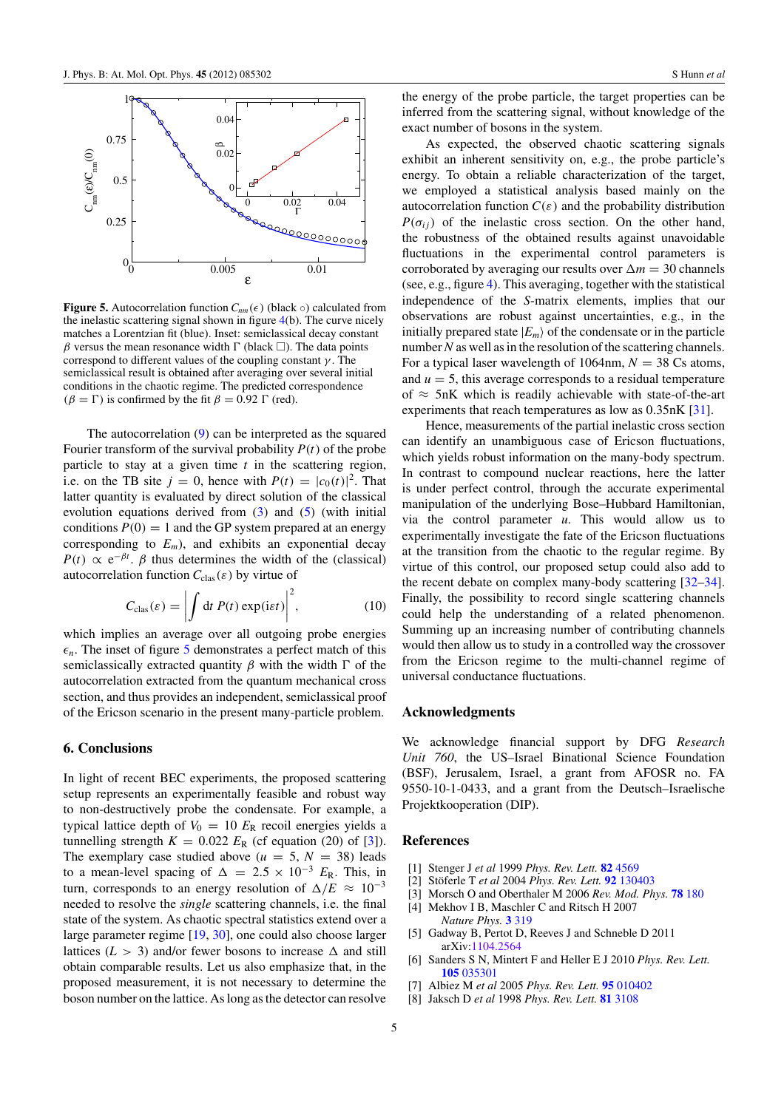

**Figure 5.** Autocorrelation function  $C_{nm}(\epsilon)$  (black  $\circ$ ) calculated from the inelastic scattering signal shown in figure 4(b). The curve nicely matches a Lorentzian fit (blue). Inset: semiclassical decay constant β versus the mean resonance width  $\Gamma$  (black  $\Box$ ). The data points correspond to different values of the coupling constant  $\gamma$ . The semiclassical result is obtained after averaging over several initial conditions in the chaotic regime. The predicted correspondence  $(\beta = \Gamma)$  is confirmed by the fit  $\beta = 0.92 \Gamma$  (red).

The autocorrelation (9) can be interpreted as the squared Fourier transform of the survival probability *P*(*t*) of the probe particle to stay at a given time *t* in the scattering region, i.e. on the TB site  $j = 0$ , hence with  $P(t) = |c_0(t)|^2$ . That latter quantity is evaluated by direct solution of the classical evolution equations derived from  $(3)$  and  $(5)$  (with initial conditions  $P(0) = 1$  and the GP system prepared at an energy corresponding to  $E_m$ ), and exhibits an exponential decay  $P(t) \propto e^{-\beta t}$ .  $\beta$  thus determines the width of the (classical) autocorrelation function  $C_{\text{clas}}(\varepsilon)$  by virtue of

$$
C_{\text{clas}}(\varepsilon) = \left| \int \mathrm{d}t \, P(t) \exp(\mathrm{i}\varepsilon t) \right|^2, \tag{10}
$$

which implies an average over all outgoing probe energies  $\epsilon_n$ . The inset of figure 5 demonstrates a perfect match of this semiclassically extracted quantity  $\beta$  with the width  $\Gamma$  of the autocorrelation extracted from the quantum mechanical cross section, and thus provides an independent, semiclassical proof of the Ericson scenario in the present many-particle problem.

## **6. Conclusions**

In light of recent BEC experiments, the proposed scattering setup represents an experimentally feasible and robust way to non-destructively probe the condensate. For example, a typical lattice depth of  $V_0 = 10 E_R$  recoil energies yields a tunnelling strength  $K = 0.022 E_R$  (cf equation (20) of [3]). The exemplary case studied above ( $u = 5$ ,  $N = 38$ ) leads to a mean-level spacing of  $\Delta = 2.5 \times 10^{-3}$  *E*<sub>R</sub>. This, in turn, corresponds to an energy resolution of  $\Delta/E \approx 10^{-3}$ needed to resolve the *single* scattering channels, i.e. the final state of the system. As chaotic spectral statistics extend over a large parameter regime [19, 30], one could also choose larger lattices ( $L > 3$ ) and/or fewer bosons to increase  $\Delta$  and still obtain comparable results. Let us also emphasize that, in the proposed measurement, it is not necessary to determine the boson number on the lattice. As long as the detector can resolve the energy of the probe particle, the target properties can be inferred from the scattering signal, without knowledge of the exact number of bosons in the system.

As expected, the observed chaotic scattering signals exhibit an inherent sensitivity on, e.g., the probe particle's energy. To obtain a reliable characterization of the target, we employed a statistical analysis based mainly on the autocorrelation function  $C(\varepsilon)$  and the probability distribution  $P(\sigma_{ii})$  of the inelastic cross section. On the other hand, the robustness of the obtained results against unavoidable fluctuations in the experimental control parameters is corroborated by averaging our results over  $\Delta m = 30$  channels (see, e.g., figure 4). This averaging, together with the statistical independence of the *S*-matrix elements, implies that our observations are robust against uncertainties, e.g., in the initially prepared state  $|E_m\rangle$  of the condensate or in the particle number*N* as well as in the resolution of the scattering channels. For a typical laser wavelength of 1064nm,  $N = 38$  Cs atoms, and  $u = 5$ , this average corresponds to a residual temperature of  $\approx$  5nK which is readily achievable with state-of-the-art experiments that reach temperatures as low as 0.35nK [31].

Hence, measurements of the partial inelastic cross section can identify an unambiguous case of Ericson fluctuations, which yields robust information on the many-body spectrum. In contrast to compound nuclear reactions, here the latter is under perfect control, through the accurate experimental manipulation of the underlying Bose–Hubbard Hamiltonian, via the control parameter *u*. This would allow us to experimentally investigate the fate of the Ericson fluctuations at the transition from the chaotic to the regular regime. By virtue of this control, our proposed setup could also add to the recent debate on complex many-body scattering [32–34]. Finally, the possibility to record single scattering channels could help the understanding of a related phenomenon. Summing up an increasing number of contributing channels would then allow us to study in a controlled way the crossover from the Ericson regime to the multi-channel regime of universal conductance fluctuations.

#### **Acknowledgments**

We acknowledge financial support by DFG *Research Unit 760*, the US–Israel Binational Science Foundation (BSF), Jerusalem, Israel, a grant from AFOSR no. FA 9550-10-1-0433, and a grant from the Deutsch–Israelische Projektkooperation (DIP).

#### **References**

- [1] Stenger J *et al* 1999 *Phys. Rev. Lett.* **82** 4569
- [2] Stöferle T et al 2004 Phys. Rev. Lett. **92** 130403
- [3] Morsch O and Oberthaler M 2006 *Rev. Mod. Phys.* **78** 180
- [4] Mekhov I B, Maschler C and Ritsch H 2007 *Nature Phys.* **3** 319
- [5] Gadway B, Pertot D, Reeves J and Schneble D 2011 arXiv:1104.2564
- [6] Sanders S N, Mintert F and Heller E J 2010 *Phys. Rev. Lett.* **105** 035301
- [7] Albiez M *et al* 2005 *Phys. Rev. Lett.* **95** 010402
- [8] Jaksch D *et al* 1998 *Phys. Rev. Lett.* **81** 3108